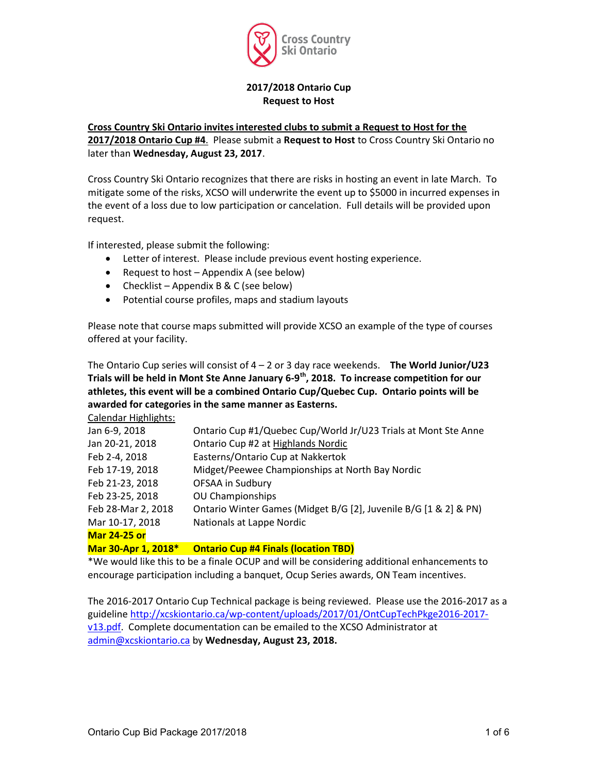

#### 2017/2018 Ontario Cup Request to Host

#### Cross Country Ski Ontario invites interested clubs to submit a Request to Host for the

2017/2018 Ontario Cup #4. Please submit a Request to Host to Cross Country Ski Ontario no later than Wednesday, August 23, 2017.

Cross Country Ski Ontario recognizes that there are risks in hosting an event in late March. To mitigate some of the risks, XCSO will underwrite the event up to \$5000 in incurred expenses in the event of a loss due to low participation or cancelation. Full details will be provided upon request.

If interested, please submit the following:

- Letter of interest. Please include previous event hosting experience.
- Request to host Appendix A (see below)
- Checklist Appendix B & C (see below)
- Potential course profiles, maps and stadium layouts

Please note that course maps submitted will provide XCSO an example of the type of courses offered at your facility.

The Ontario Cup series will consist of  $4 - 2$  or 3 day race weekends. The World Junior/U23 Trials will be held in Mont Ste Anne January 6-9<sup>th</sup>, 2018. To increase competition for our athletes, this event will be a combined Ontario Cup/Quebec Cup. Ontario points will be awarded for categories in the same manner as Easterns.

Calendar Highlights: Jan 6-9, 2018 Ontario Cup #1/Quebec Cup/World Jr/U23 Trials at Mont Ste Anne Jan 20-21, 2018 Gontario Cup #2 at Highlands Nordic Feb 2-4, 2018 Easterns/Ontario Cup at Nakkertok Feb 17-19, 2018 Midget/Peewee Championships at North Bay Nordic Feb 21-23, 2018 OFSAA in Sudbury Feb 23-25, 2018 OU Championships Feb 28-Mar 2, 2018 Ontario Winter Games (Midget B/G [2], Juvenile B/G [1 & 2] & PN) Mar 10-17, 2018 Nationals at Lappe Nordic Mar 24-25 or Mar 30-Apr 1, 2018\* Ontario Cup #4 Finals (location TBD)

\*We would like this to be a finale OCUP and will be considering additional enhancements to encourage participation including a banquet, Ocup Series awards, ON Team incentives.

The 2016-2017 Ontario Cup Technical package is being reviewed. Please use the 2016-2017 as a guideline http://xcskiontario.ca/wp-content/uploads/2017/01/OntCupTechPkge2016-2017 v13.pdf. Complete documentation can be emailed to the XCSO Administrator at admin@xcskiontario.ca by Wednesday, August 23, 2018.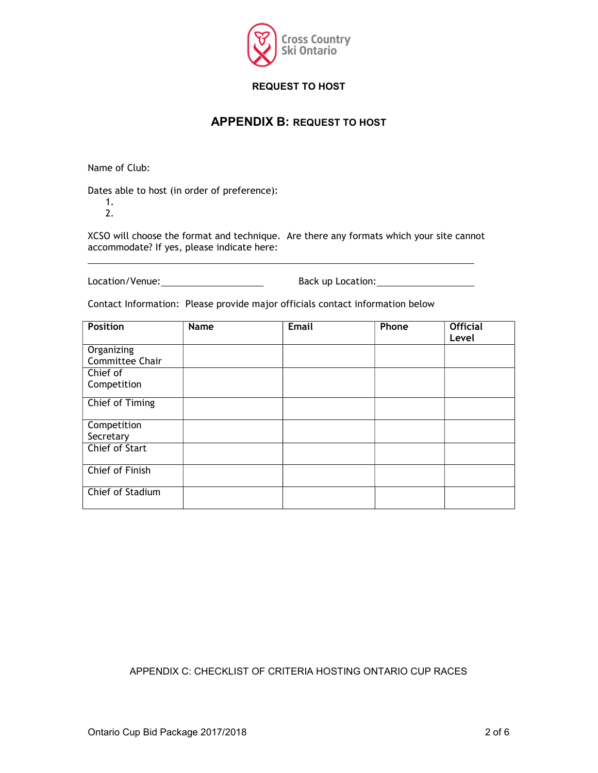

# REQUEST TO HOST

# APPENDIX B: REQUEST TO HOST

Name of Club:

Dates able to host (in order of preference):

1. 2.

XCSO will choose the format and technique. Are there any formats which your site cannot accommodate? If yes, please indicate here:

Location/Venue: Back up Location:

Contact Information: Please provide major officials contact information below

| <b>Position</b>       | Name | <b>Email</b> | Phone | <b>Official</b><br>Level |
|-----------------------|------|--------------|-------|--------------------------|
|                       |      |              |       |                          |
| Organizing            |      |              |       |                          |
| Committee Chair       |      |              |       |                          |
| Chief of              |      |              |       |                          |
| Competition           |      |              |       |                          |
| Chief of Timing       |      |              |       |                          |
| Competition           |      |              |       |                          |
| Secretary             |      |              |       |                          |
| <b>Chief of Start</b> |      |              |       |                          |
| Chief of Finish       |      |              |       |                          |
| Chief of Stadium      |      |              |       |                          |

## APPENDIX C: CHECKLIST OF CRITERIA HOSTING ONTARIO CUP RACES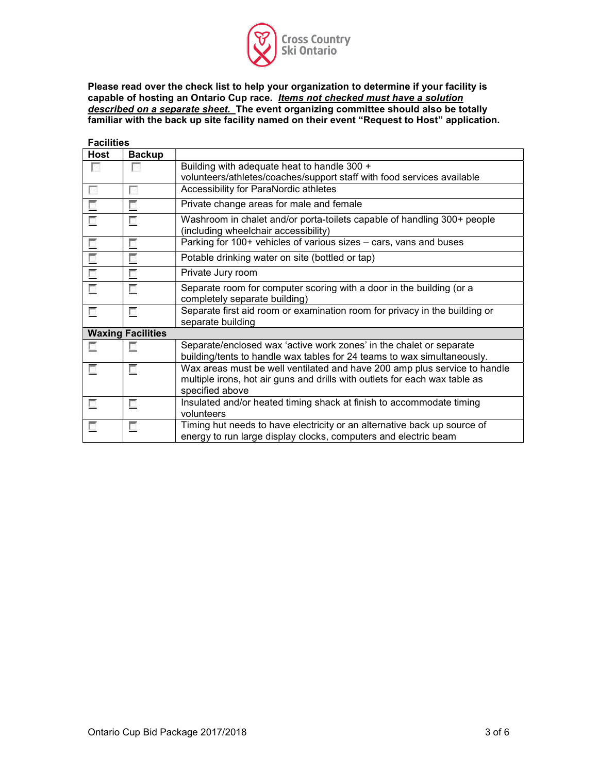

Please read over the check list to help your organization to determine if your facility is capable of hosting an Ontario Cup race*. I<u>tems not checked must have a solution</u>* described on a separate sheet. The event organizing committee should also be totally familiar with the back up site facility named on their event "Request to Host" application.

| <b>Facilities</b>        |                          |                                                                                                                                                                            |
|--------------------------|--------------------------|----------------------------------------------------------------------------------------------------------------------------------------------------------------------------|
| <b>Host</b>              | <b>Backup</b>            |                                                                                                                                                                            |
| P.                       | Pa                       | Building with adequate heat to handle 300 +                                                                                                                                |
|                          |                          | volunteers/athletes/coaches/support staff with food services available                                                                                                     |
| ×                        | Е                        | Accessibility for ParaNordic athletes                                                                                                                                      |
| E                        | Г                        | Private change areas for male and female                                                                                                                                   |
| $\overline{\phantom{a}}$ | E.                       | Washroom in chalet and/or porta-toilets capable of handling 300+ people<br>(including wheelchair accessibility)                                                            |
| П                        | г                        | Parking for 100+ vehicles of various sizes - cars, vans and buses                                                                                                          |
| E.                       | Г                        | Potable drinking water on site (bottled or tap)                                                                                                                            |
| П                        | г                        | Private Jury room                                                                                                                                                          |
| E.                       | Г                        | Separate room for computer scoring with a door in the building (or a<br>completely separate building)                                                                      |
| П                        | г                        | Separate first aid room or examination room for privacy in the building or<br>separate building                                                                            |
|                          | <b>Waxing Facilities</b> |                                                                                                                                                                            |
| G,                       | г                        | Separate/enclosed wax 'active work zones' in the chalet or separate<br>building/tents to handle wax tables for 24 teams to wax simultaneously.                             |
| П                        | г                        | Wax areas must be well ventilated and have 200 amp plus service to handle<br>multiple irons, hot air guns and drills with outlets for each wax table as<br>specified above |
| П                        | г                        | Insulated and/or heated timing shack at finish to accommodate timing<br>volunteers                                                                                         |
| П                        | г                        | Timing hut needs to have electricity or an alternative back up source of<br>energy to run large display clocks, computers and electric beam                                |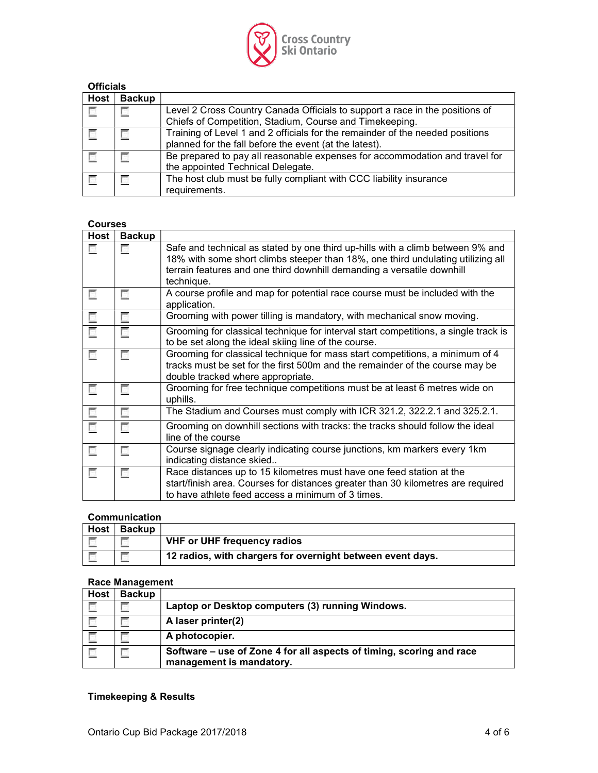

| <b>Officials</b> |               |                                                                               |  |  |  |
|------------------|---------------|-------------------------------------------------------------------------------|--|--|--|
| <b>Host</b>      | <b>Backup</b> |                                                                               |  |  |  |
| Г                |               | Level 2 Cross Country Canada Officials to support a race in the positions of  |  |  |  |
|                  |               | Chiefs of Competition, Stadium, Course and Timekeeping.                       |  |  |  |
|                  |               | Training of Level 1 and 2 officials for the remainder of the needed positions |  |  |  |
|                  |               | planned for the fall before the event (at the latest).                        |  |  |  |
| 匸                |               | Be prepared to pay all reasonable expenses for accommodation and travel for   |  |  |  |
|                  |               | the appointed Technical Delegate.                                             |  |  |  |
| 匸                |               | The host club must be fully compliant with CCC liability insurance            |  |  |  |
|                  |               | requirements.                                                                 |  |  |  |

#### Courses

| <b>Host</b> | <b>Backup</b> |                                                                                                                                                                                                                                                           |
|-------------|---------------|-----------------------------------------------------------------------------------------------------------------------------------------------------------------------------------------------------------------------------------------------------------|
|             |               | Safe and technical as stated by one third up-hills with a climb between 9% and<br>18% with some short climbs steeper than 18%, one third undulating utilizing all<br>terrain features and one third downhill demanding a versatile downhill<br>technique. |
| E.          | г             | A course profile and map for potential race course must be included with the<br>application.                                                                                                                                                              |
| E           | г             | Grooming with power tilling is mandatory, with mechanical snow moving.                                                                                                                                                                                    |
| П           | П             | Grooming for classical technique for interval start competitions, a single track is<br>to be set along the ideal skiing line of the course.                                                                                                               |
| T.          | г             | Grooming for classical technique for mass start competitions, a minimum of 4<br>tracks must be set for the first 500m and the remainder of the course may be<br>double tracked where appropriate.                                                         |
| E.          | П             | Grooming for free technique competitions must be at least 6 metres wide on<br>uphills.                                                                                                                                                                    |
| G.          | Г             | The Stadium and Courses must comply with ICR 321.2, 322.2.1 and 325.2.1.                                                                                                                                                                                  |
| П           | г             | Grooming on downhill sections with tracks: the tracks should follow the ideal<br>line of the course                                                                                                                                                       |
| E.          | г             | Course signage clearly indicating course junctions, km markers every 1km<br>indicating distance skied                                                                                                                                                     |
| п           | г             | Race distances up to 15 kilometres must have one feed station at the<br>start/finish area. Courses for distances greater than 30 kilometres are required<br>to have athlete feed access a minimum of 3 times.                                             |

#### Communication

| Host | <b>Backup</b> |                                                            |
|------|---------------|------------------------------------------------------------|
|      |               | <b>VHF or UHF frequency radios</b>                         |
|      |               | 12 radios, with chargers for overnight between event days. |

# Race Management

| <b>Host</b> | <b>Backup</b> |                                                                                                  |
|-------------|---------------|--------------------------------------------------------------------------------------------------|
|             |               | Laptop or Desktop computers (3) running Windows.                                                 |
|             |               | A laser printer(2)                                                                               |
|             |               | A photocopier.                                                                                   |
|             |               | Software – use of Zone 4 for all aspects of timing, scoring and race<br>management is mandatory. |

## Timekeeping & Results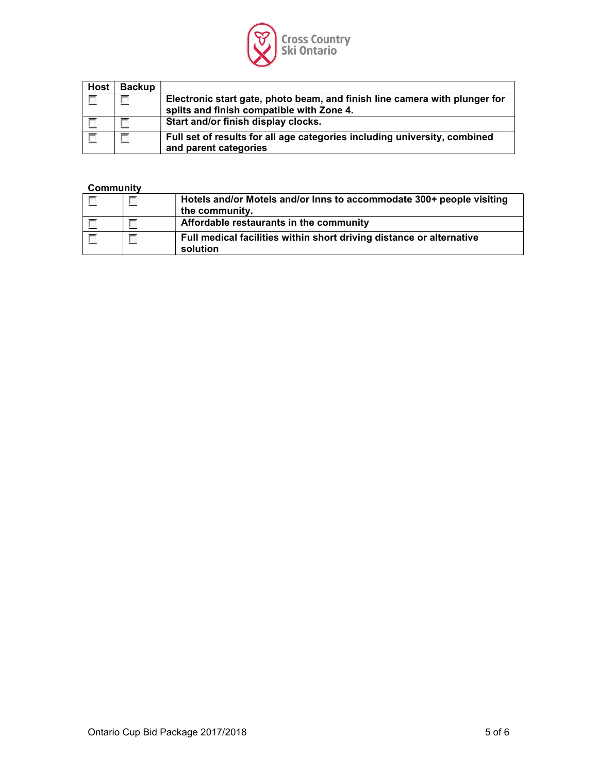

| <b>Host</b>              | <b>Backup</b> |                                                                            |
|--------------------------|---------------|----------------------------------------------------------------------------|
| $\overline{\mathcal{C}}$ |               | Electronic start gate, photo beam, and finish line camera with plunger for |
|                          |               | splits and finish compatible with Zone 4.                                  |
|                          |               | Start and/or finish display clocks.                                        |
| $\overline{\phantom{a}}$ |               | Full set of results for all age categories including university, combined  |
|                          |               | and parent categories                                                      |

#### **Community**

| $\equiv$ | Hotels and/or Motels and/or lnns to accommodate 300+ people visiting<br>the community. |
|----------|----------------------------------------------------------------------------------------|
|          | Affordable restaurants in the community                                                |
|          | Full medical facilities within short driving distance or alternative<br>solution       |